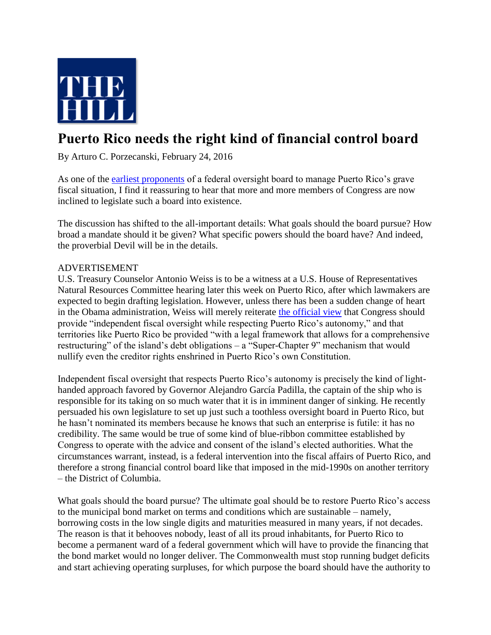

## **Puerto Rico needs the right kind of financial control board**

By Arturo C. Porzecanski, February 24, 2016

As one of the [earliest proponents](http://thehill.com/blogs/congress-blog/economy-budget/221593-puerto-rico-needs-a-financial-control-board) of a federal oversight board to manage Puerto Rico's grave fiscal situation, I find it reassuring to hear that more and more members of Congress are now inclined to legislate such a board into existence.

The discussion has shifted to the all-important details: What goals should the board pursue? How broad a mandate should it be given? What specific powers should the board have? And indeed, the proverbial Devil will be in the details.

## ADVERTISEMENT

U.S. Treasury Counselor Antonio Weiss is to be a witness at a U.S. House of Representatives Natural Resources Committee hearing later this week on Puerto Rico, after which lawmakers are expected to begin drafting legislation. However, unless there has been a sudden change of heart in the Obama administration, Weiss will merely reiterate [the official view](https://www.whitehouse.gov/sites/default/files/roadmap_for_congressional_action___puerto_rico_final.pdf) that Congress should provide "independent fiscal oversight while respecting Puerto Rico's autonomy," and that territories like Puerto Rico be provided "with a legal framework that allows for a comprehensive restructuring" of the island's debt obligations – a "Super-Chapter 9" mechanism that would nullify even the creditor rights enshrined in Puerto Rico's own Constitution.

Independent fiscal oversight that respects Puerto Rico's autonomy is precisely the kind of lighthanded approach favored by Governor Alejandro García Padilla, the captain of the ship who is responsible for its taking on so much water that it is in imminent danger of sinking. He recently persuaded his own legislature to set up just such a toothless oversight board in Puerto Rico, but he hasn't nominated its members because he knows that such an enterprise is futile: it has no credibility. The same would be true of some kind of blue-ribbon committee established by Congress to operate with the advice and consent of the island's elected authorities. What the circumstances warrant, instead, is a federal intervention into the fiscal affairs of Puerto Rico, and therefore a strong financial control board like that imposed in the mid-1990s on another territory – the District of Columbia.

What goals should the board pursue? The ultimate goal should be to restore Puerto Rico's access to the municipal bond market on terms and conditions which are sustainable – namely, borrowing costs in the low single digits and maturities measured in many years, if not decades. The reason is that it behooves nobody, least of all its proud inhabitants, for Puerto Rico to become a permanent ward of a federal government which will have to provide the financing that the bond market would no longer deliver. The Commonwealth must stop running budget deficits and start achieving operating surpluses, for which purpose the board should have the authority to